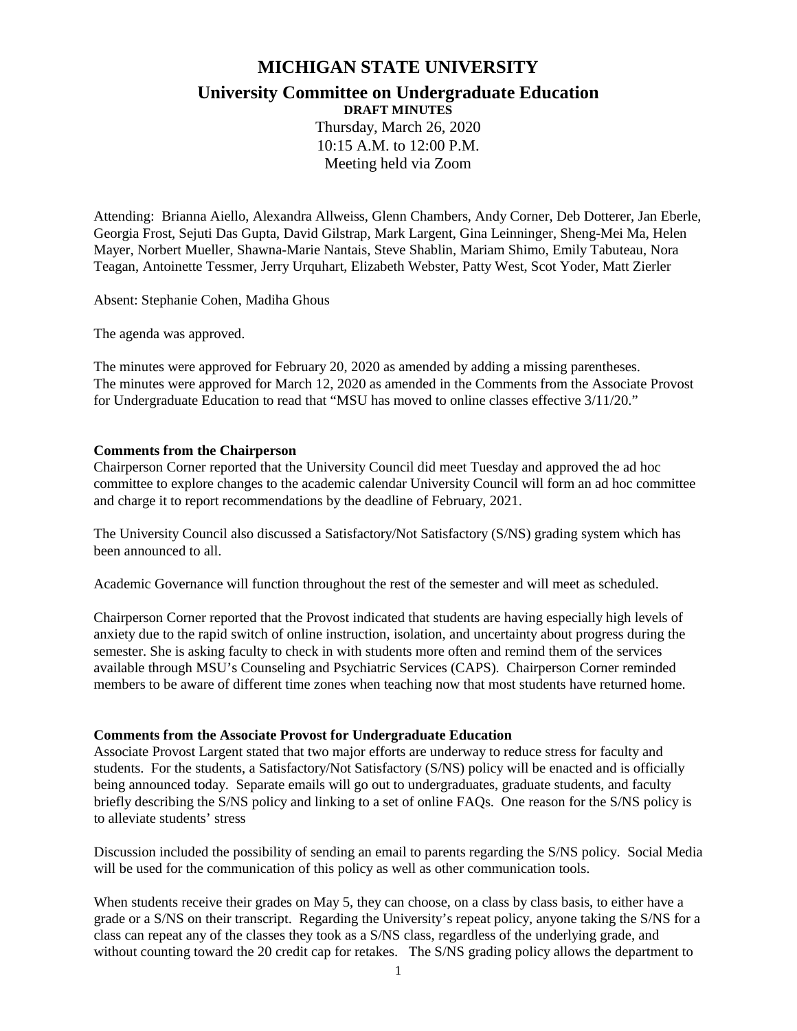## **MICHIGAN STATE UNIVERSITY**

# **University Committee on Undergraduate Education**

**DRAFT MINUTES**

Thursday, March 26, 2020 10:15 A.M. to 12:00 P.M. Meeting held via Zoom

Attending: Brianna Aiello, Alexandra Allweiss, Glenn Chambers, Andy Corner, Deb Dotterer, Jan Eberle, Georgia Frost, Sejuti Das Gupta, David Gilstrap, Mark Largent, Gina Leinninger, Sheng-Mei Ma, Helen Mayer, Norbert Mueller, Shawna-Marie Nantais, Steve Shablin, Mariam Shimo, Emily Tabuteau, Nora Teagan, Antoinette Tessmer, Jerry Urquhart, Elizabeth Webster, Patty West, Scot Yoder, Matt Zierler

Absent: Stephanie Cohen, Madiha Ghous

The agenda was approved.

The minutes were approved for February 20, 2020 as amended by adding a missing parentheses. The minutes were approved for March 12, 2020 as amended in the Comments from the Associate Provost for Undergraduate Education to read that "MSU has moved to online classes effective 3/11/20."

#### **Comments from the Chairperson**

Chairperson Corner reported that the University Council did meet Tuesday and approved the ad hoc committee to explore changes to the academic calendar University Council will form an ad hoc committee and charge it to report recommendations by the deadline of February, 2021.

The University Council also discussed a Satisfactory/Not Satisfactory (S/NS) grading system which has been announced to all.

Academic Governance will function throughout the rest of the semester and will meet as scheduled.

Chairperson Corner reported that the Provost indicated that students are having especially high levels of anxiety due to the rapid switch of online instruction, isolation, and uncertainty about progress during the semester. She is asking faculty to check in with students more often and remind them of the services available through MSU's Counseling and Psychiatric Services (CAPS). Chairperson Corner reminded members to be aware of different time zones when teaching now that most students have returned home.

#### **Comments from the Associate Provost for Undergraduate Education**

Associate Provost Largent stated that two major efforts are underway to reduce stress for faculty and students. For the students, a Satisfactory/Not Satisfactory (S/NS) policy will be enacted and is officially being announced today. Separate emails will go out to undergraduates, graduate students, and faculty briefly describing the S/NS policy and linking to a set of online FAQs. One reason for the S/NS policy is to alleviate students' stress

Discussion included the possibility of sending an email to parents regarding the S/NS policy. Social Media will be used for the communication of this policy as well as other communication tools.

When students receive their grades on May 5, they can choose, on a class by class basis, to either have a grade or a S/NS on their transcript. Regarding the University's repeat policy, anyone taking the S/NS for a class can repeat any of the classes they took as a S/NS class, regardless of the underlying grade, and without counting toward the 20 credit cap for retakes. The S/NS grading policy allows the department to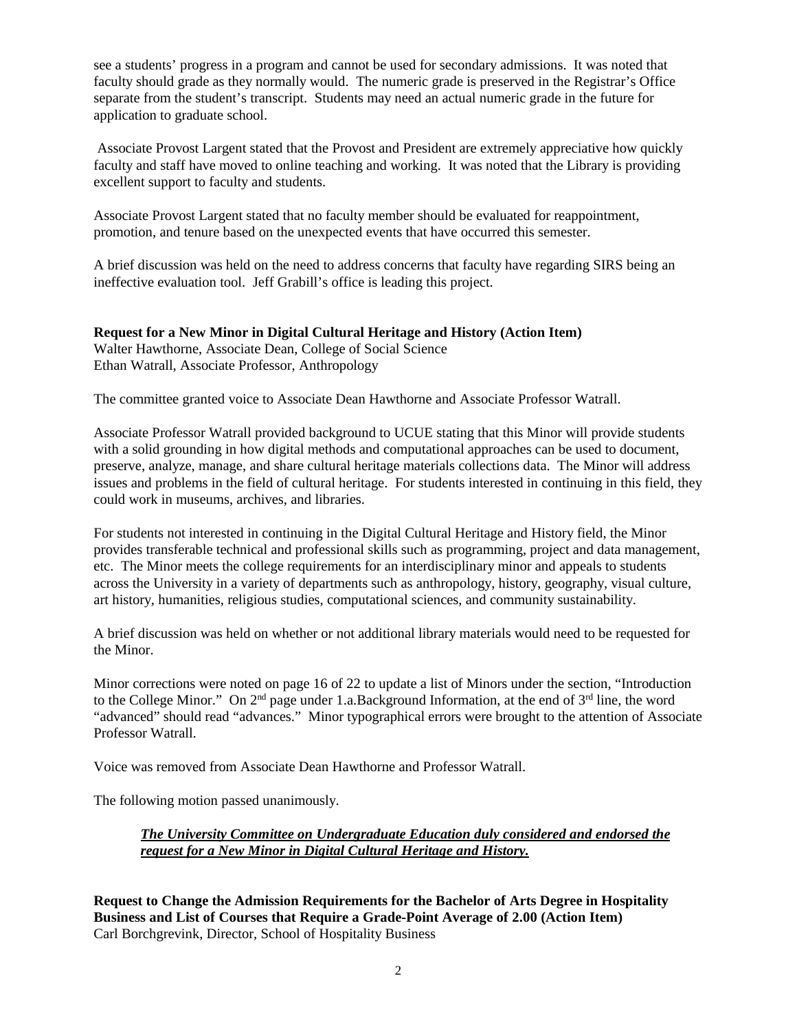see a students' progress in a program and cannot be used for secondary admissions. It was noted that faculty should grade as they normally would. The numeric grade is preserved in the Registrar's Office separate from the student's transcript. Students may need an actual numeric grade in the future for application to graduate school.

Associate Provost Largent stated that the Provost and President are extremely appreciative how quickly faculty and staff have moved to online teaching and working. It was noted that the Library is providing excellent support to faculty and students.

Associate Provost Largent stated that no faculty member should be evaluated for reappointment, promotion, and tenure based on the unexpected events that have occurred this semester.

A brief discussion was held on the need to address concerns that faculty have regarding SIRS being an ineffective evaluation tool. Jeff Grabill's office is leading this project.

#### **Request for a New Minor in Digital Cultural Heritage and History (Action Item)**

Walter Hawthorne, Associate Dean, College of Social Science Ethan Watrall, Associate Professor, Anthropology

The committee granted voice to Associate Dean Hawthorne and Associate Professor Watrall.

Associate Professor Watrall provided background to UCUE stating that this Minor will provide students with a solid grounding in how digital methods and computational approaches can be used to document, preserve, analyze, manage, and share cultural heritage materials collections data. The Minor will address issues and problems in the field of cultural heritage. For students interested in continuing in this field, they could work in museums, archives, and libraries.

For students not interested in continuing in the Digital Cultural Heritage and History field, the Minor provides transferable technical and professional skills such as programming, project and data management, etc. The Minor meets the college requirements for an interdisciplinary minor and appeals to students across the University in a variety of departments such as anthropology, history, geography, visual culture, art history, humanities, religious studies, computational sciences, and community sustainability.

A brief discussion was held on whether or not additional library materials would need to be requested for the Minor.

Minor corrections were noted on page 16 of 22 to update a list of Minors under the section, "Introduction to the College Minor." On 2nd page under 1.a.Background Information, at the end of 3rd line, the word "advanced" should read "advances." Minor typographical errors were brought to the attention of Associate Professor Watrall.

Voice was removed from Associate Dean Hawthorne and Professor Watrall.

The following motion passed unanimously.

## *The University Committee on Undergraduate Education duly considered and endorsed the request for a New Minor in Digital Cultural Heritage and History.*

**Request to Change the Admission Requirements for the Bachelor of Arts Degree in Hospitality Business and List of Courses that Require a Grade-Point Average of 2.00 (Action Item)** Carl Borchgrevink, Director, School of Hospitality Business